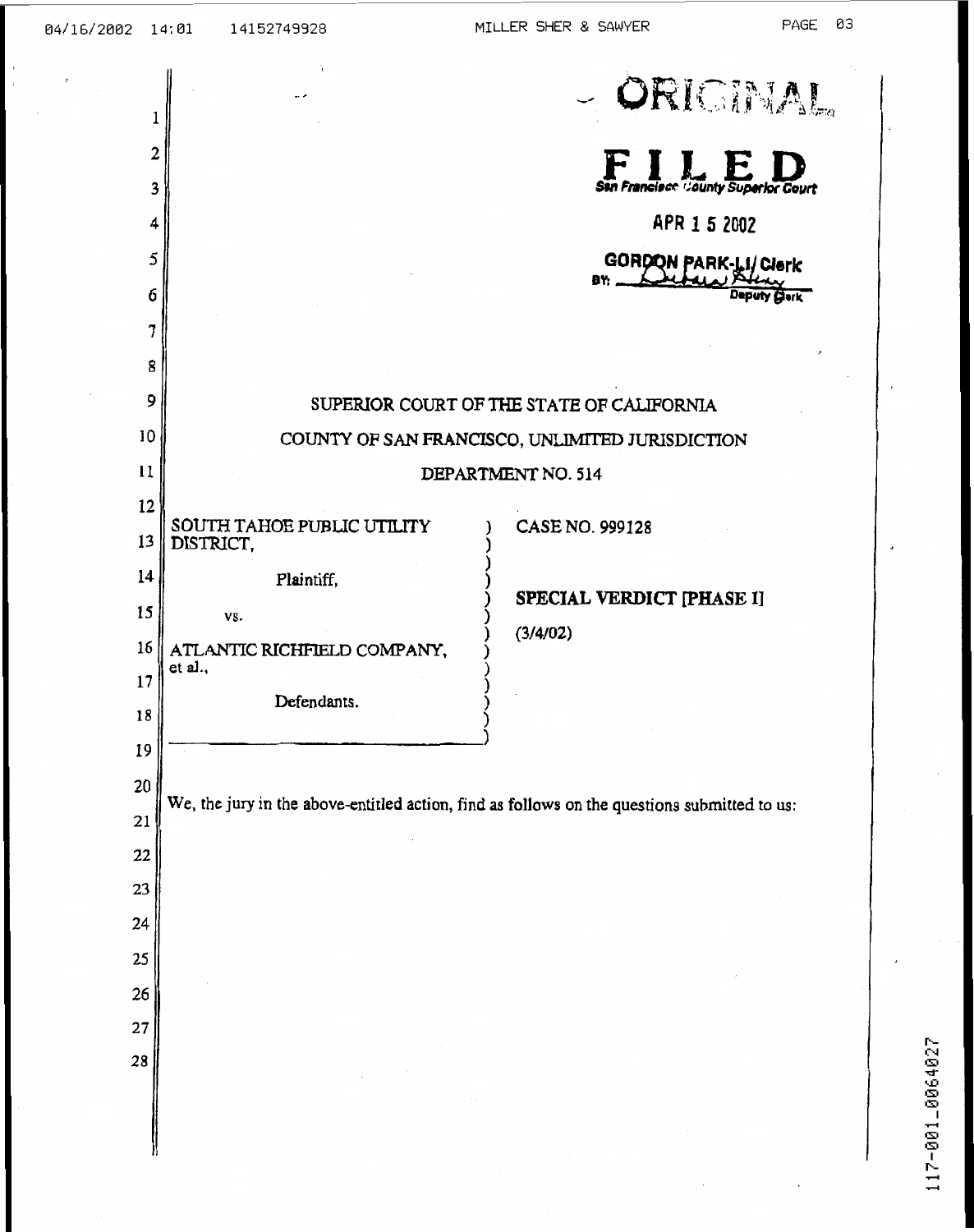| 1        |                                                                                              | - ORIGINAL                                      |  |  |  |  |  |  |  |  |
|----------|----------------------------------------------------------------------------------------------|-------------------------------------------------|--|--|--|--|--|--|--|--|
| 2        |                                                                                              |                                                 |  |  |  |  |  |  |  |  |
| 3        |                                                                                              | San Francisco County Superior Court             |  |  |  |  |  |  |  |  |
| 4        |                                                                                              | APR 1 5 2002                                    |  |  |  |  |  |  |  |  |
| 5        |                                                                                              | GORDON PARK-LI/Clerk                            |  |  |  |  |  |  |  |  |
| б        |                                                                                              | B۲:<br>erk                                      |  |  |  |  |  |  |  |  |
| 7        |                                                                                              |                                                 |  |  |  |  |  |  |  |  |
| 8        |                                                                                              |                                                 |  |  |  |  |  |  |  |  |
| 9        | SUPERIOR COURT OF THE STATE OF CALIFORNIA                                                    |                                                 |  |  |  |  |  |  |  |  |
| 10       |                                                                                              | COUNTY OF SAN FRANCISCO, UNLIMITED JURISDICTION |  |  |  |  |  |  |  |  |
| 11       |                                                                                              | DEPARTMENT NO. 514                              |  |  |  |  |  |  |  |  |
| 12       | SOUTH TAHOE PUBLIC UTILITY                                                                   | CASE NO. 999128                                 |  |  |  |  |  |  |  |  |
| 13       | DISTRICT,                                                                                    |                                                 |  |  |  |  |  |  |  |  |
| 14       | Plaintiff,                                                                                   |                                                 |  |  |  |  |  |  |  |  |
| 15       | VS.                                                                                          | SPECIAL VERDICT [PHASE I]<br>(3/4/02)           |  |  |  |  |  |  |  |  |
| 16       | ATLANTIC RICHFIELD COMPANY,<br>et al.,                                                       |                                                 |  |  |  |  |  |  |  |  |
| 17       | Defendants.                                                                                  |                                                 |  |  |  |  |  |  |  |  |
| 18       |                                                                                              |                                                 |  |  |  |  |  |  |  |  |
| 19       |                                                                                              |                                                 |  |  |  |  |  |  |  |  |
| 20       | We, the jury in the above-entitled action, find as follows on the questions submitted to us: |                                                 |  |  |  |  |  |  |  |  |
| 21       |                                                                                              |                                                 |  |  |  |  |  |  |  |  |
| 22       |                                                                                              |                                                 |  |  |  |  |  |  |  |  |
| 23       |                                                                                              |                                                 |  |  |  |  |  |  |  |  |
| 24       |                                                                                              |                                                 |  |  |  |  |  |  |  |  |
| 25<br>26 |                                                                                              |                                                 |  |  |  |  |  |  |  |  |
| 27       |                                                                                              |                                                 |  |  |  |  |  |  |  |  |
| 28       |                                                                                              |                                                 |  |  |  |  |  |  |  |  |
|          |                                                                                              |                                                 |  |  |  |  |  |  |  |  |
|          |                                                                                              |                                                 |  |  |  |  |  |  |  |  |
|          |                                                                                              |                                                 |  |  |  |  |  |  |  |  |

 $\ddot{\phantom{1}}$ 

 $\ddot{\phantom{0}}$ 

.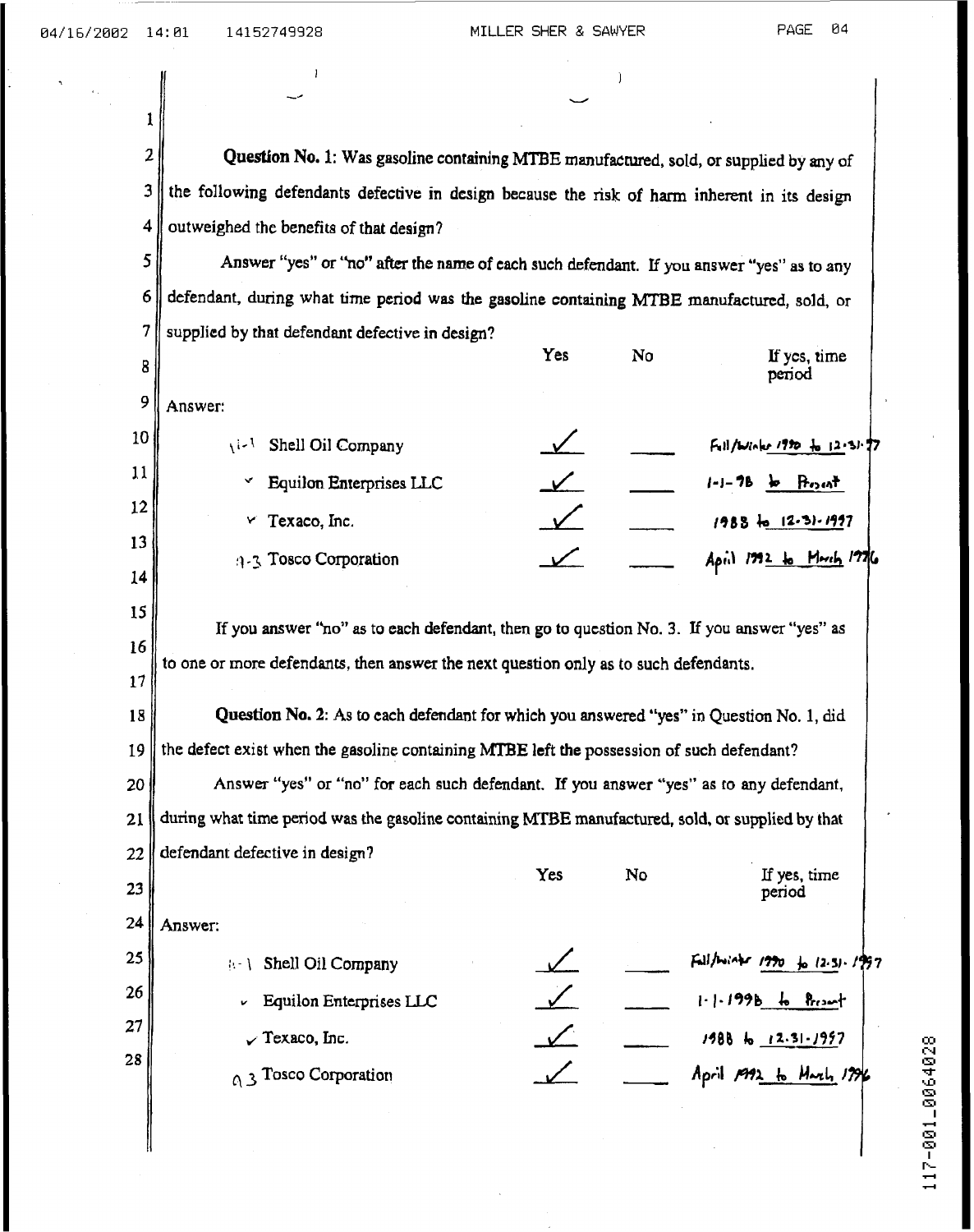$\boldsymbol{2}$ **Question No. 1: Was gasoline containing MTBE manufactured, sold, or supplied by any of the following defendants defective in design because the risk of harm inherent in its design**   $\mathfrak{Z}$ 4 **outweighed the benefits of that design?** 

 $\mathbf{1}$  is a set of the set of the set of the set of the set of the set of the set of the set of the set of the set of the set of the set of the set of the set of the set of the set of the set of the set of the set of th v **c.** 

**Answer** *"yes" or* 'ho" **after the name of each such** defendant **If you answer "yes" as to any**  5 defendant, **during what** time **period was the gasoline containing MTBE manufactured, sold,** or , 7 **supplied by that defendant defective in design?** 

**Yes NO** 

**If pcs, xime**  period

I **t** 

1

**12** 

**lt** 

17

*3* 

| $\Omega$        | Answer:                                 |  |                             |
|-----------------|-----------------------------------------|--|-----------------------------|
| 10 <sub>1</sub> | Shell Oil Company<br>اءنى               |  | Full/Winks 1990 to 12.31.77 |
| 11              | Equilon Enterprises LLC<br>$\checkmark$ |  | $(-1 - 7B)$<br>Proof        |
| 12              | Texaco, Inc.<br>v                       |  | $1988 - 12.31.1997$         |
| 13<br>14        | 4-3 Tosco Corporation                   |  | April 1992 to March 1976    |
|                 |                                         |  |                             |

**If you answer** *"no"* **as** to **each defendant, then go to question No. 3. If you answer "yes" as**  o **one or** more **defendants,** then **answer the next question** only **as to such defendants.** 

**18 19 Question No. 2: As to each defendant** for **which you answered "yes" in Question No. 1 I** did **he defect exist whcn the guoline containing MTBE left the possession of such defendant?** 

**20 21 22 Answer** *"yes"* or **"no" for each such defendant. If you an8wer "yes" as to any** defendant, **luring what** time **period was the gasoline** containing **MTBE manufactured, sold,** or **supplied by that lefemdanc defective in design'?** 

**Yes No If yes, time 23 period 24**  he was not all the contract of the contract of the contract of the contract of the contract of the contract of the contract of the contract of the contract of the contract of the contract of the contract of the contract of **25**  Fall/boinkr 1990 to 12.31.1997  $\|\cdot\|$  Shell Oil Company **26**   $1 - 1.199b$  to Present Equilon Enterprises LLC v. **27**   $\sqrt{}$  Texaco, Inc.  $1988 + 12.31 - 1957$ **28**  April 1992 to Harly 1796 0.3 Tosco Corporation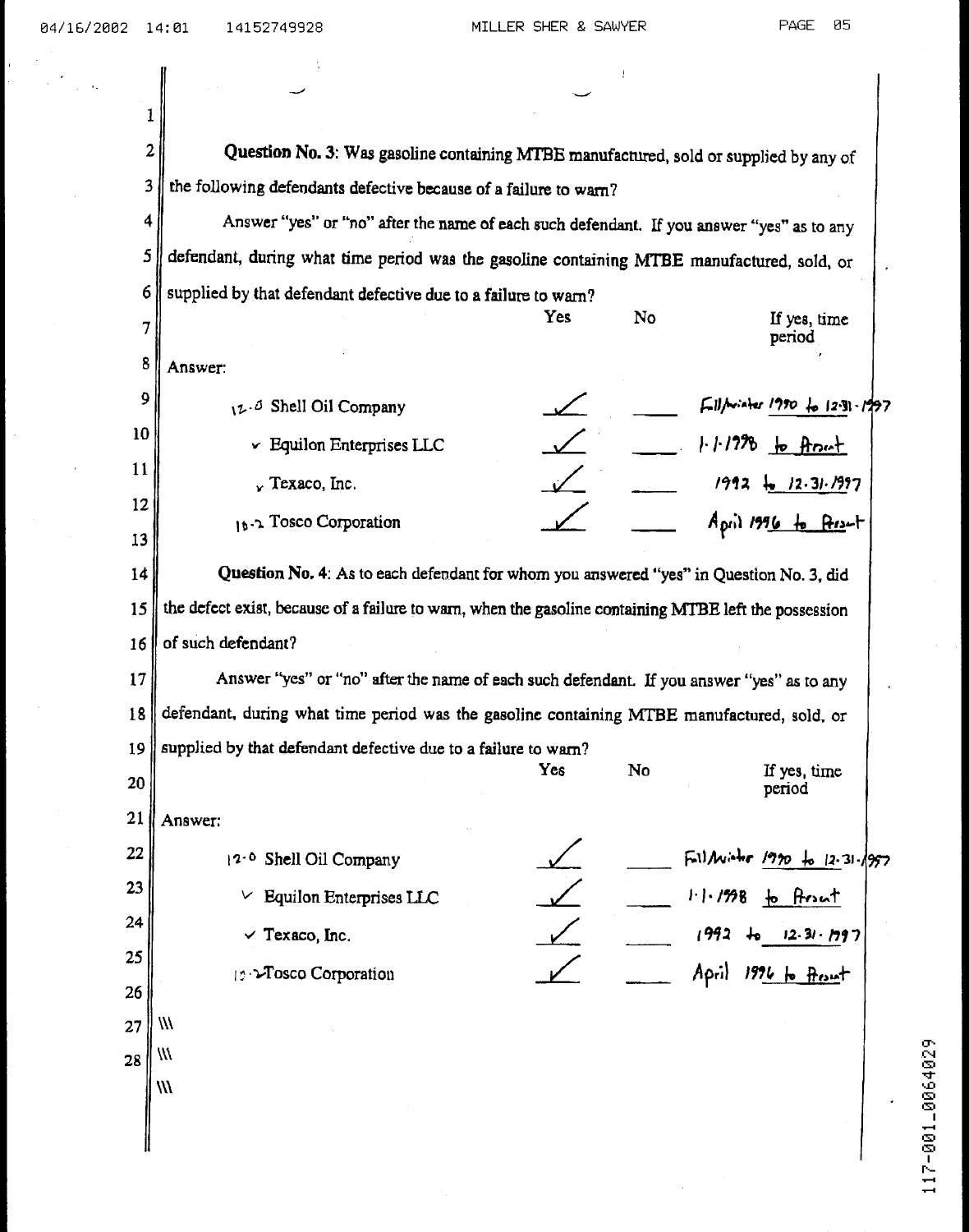| 2<br>Question No. 3: Was gasoline containing MTBE manufactured, sold or supplied by any of            |  |  |  |  |  |  |  |  |
|-------------------------------------------------------------------------------------------------------|--|--|--|--|--|--|--|--|
| 3<br>the following defendants defective because of a failure to warn?                                 |  |  |  |  |  |  |  |  |
| Answer "yes" or "no" after the name of each such defendant. If you answer "yes" as to any             |  |  |  |  |  |  |  |  |
| defendant, during what time period was the gasoline containing MTBE manufactured, sold, or            |  |  |  |  |  |  |  |  |
| supplied by that defendant defective due to a failure to warn?                                        |  |  |  |  |  |  |  |  |
| Yes<br>No<br>If yes, time<br>period                                                                   |  |  |  |  |  |  |  |  |
| Answer:                                                                                               |  |  |  |  |  |  |  |  |
| $F11/m$ after 1990 for 12.31.1997<br>12.0 Shell Oil Company                                           |  |  |  |  |  |  |  |  |
| $1.11278$ to front<br>v Equilon Enterprises LLC                                                       |  |  |  |  |  |  |  |  |
| $1992 + 12.31.1997$<br>$\sqrt{r}$ Texaco, Inc.                                                        |  |  |  |  |  |  |  |  |
| $A_{\text{grid}}$ 1996 to Asset<br>16.2 Tosco Corporation                                             |  |  |  |  |  |  |  |  |
|                                                                                                       |  |  |  |  |  |  |  |  |
| Question No. 4: As to each defendant for whom you answered "yes" in Question No. 3, did               |  |  |  |  |  |  |  |  |
| the defect exist, because of a failure to warn, when the gasoline containing MTBE left the possession |  |  |  |  |  |  |  |  |
| of such defendant?                                                                                    |  |  |  |  |  |  |  |  |
| Answer "yes" or "no" after the name of each such defendant. If you answer "yes" as to any             |  |  |  |  |  |  |  |  |
| defendant, during what time period was the gasoline containing MTBE manufactured, sold, or            |  |  |  |  |  |  |  |  |
| supplied by that defendant defective due to a failure to warn?                                        |  |  |  |  |  |  |  |  |
| Yes<br>If yes, time<br>No.<br>period                                                                  |  |  |  |  |  |  |  |  |
| Answer:                                                                                               |  |  |  |  |  |  |  |  |
| FillMister 1990 to 12.31.1997<br>12.0 Shell Oil Company                                               |  |  |  |  |  |  |  |  |
| $1.1.1998$ to front<br>$\vee$ Equilon Enterprises LLC                                                 |  |  |  |  |  |  |  |  |
| 1992<br>$\checkmark$ Texaco, Inc.<br>12.31.797                                                        |  |  |  |  |  |  |  |  |
| April 1976 to Reset<br>12 >Tosco Corporation                                                          |  |  |  |  |  |  |  |  |
|                                                                                                       |  |  |  |  |  |  |  |  |
| M                                                                                                     |  |  |  |  |  |  |  |  |
| ₩                                                                                                     |  |  |  |  |  |  |  |  |
| W                                                                                                     |  |  |  |  |  |  |  |  |
|                                                                                                       |  |  |  |  |  |  |  |  |
|                                                                                                       |  |  |  |  |  |  |  |  |

ċ

 $\mathbf{I}$ 

 $\cdot$ 

 $\ddot{\phantom{a}}$  $\frac{1}{2}$   $\frac{1}{2}$ 

1

117-001\_0064029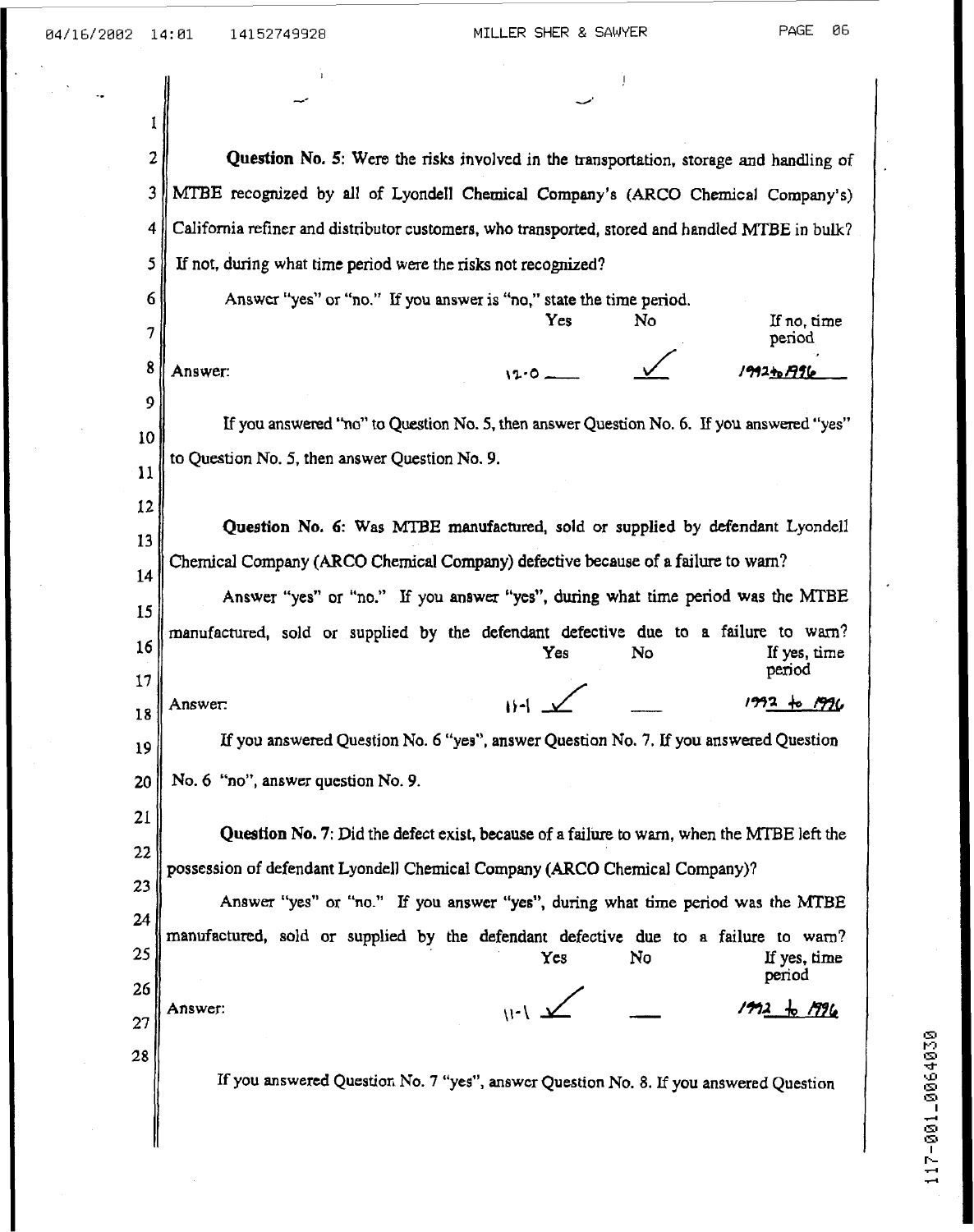| I  |                                                                                                                                                                     |  |  |  |  |  |  |  |  |  |
|----|---------------------------------------------------------------------------------------------------------------------------------------------------------------------|--|--|--|--|--|--|--|--|--|
| 2  | Question No. 5: Were the risks involved in the transportation, storage and handling of                                                                              |  |  |  |  |  |  |  |  |  |
| 3  | MTBE recognized by all of Lyondell Chemical Company's (ARCO Chemical Company's)                                                                                     |  |  |  |  |  |  |  |  |  |
| 4  | California refiner and distributor customers, who transported, stored and handled MTBE in bulk?                                                                     |  |  |  |  |  |  |  |  |  |
| 5  | If not, during what time period were the risks not recognized?                                                                                                      |  |  |  |  |  |  |  |  |  |
| 6  | Answer "yes" or "no." If you answer is "no," state the time period.                                                                                                 |  |  |  |  |  |  |  |  |  |
| 7  | No<br>Yes<br>If no, time<br>period                                                                                                                                  |  |  |  |  |  |  |  |  |  |
| 8  | Answer:<br>ノタタスわ F996                                                                                                                                               |  |  |  |  |  |  |  |  |  |
| 9  |                                                                                                                                                                     |  |  |  |  |  |  |  |  |  |
| 10 | If you answered "no" to Question No. 5, then answer Question No. 6. If you answered "yes"                                                                           |  |  |  |  |  |  |  |  |  |
| 11 | to Question No. 5, then answer Question No. 9.                                                                                                                      |  |  |  |  |  |  |  |  |  |
| 12 |                                                                                                                                                                     |  |  |  |  |  |  |  |  |  |
| 13 | Question No. 6: Was MTBE manufactured, sold or supplied by defendant Lyondell                                                                                       |  |  |  |  |  |  |  |  |  |
| 14 | Chemical Company (ARCO Chemical Company) defective because of a failure to warn?<br>Answer "yes" or "no." If you answer "yes", during what time period was the MTBE |  |  |  |  |  |  |  |  |  |
| 15 |                                                                                                                                                                     |  |  |  |  |  |  |  |  |  |
| 16 | manufactured, sold or supplied by the defendant defective due to a failure to warn?                                                                                 |  |  |  |  |  |  |  |  |  |
| 17 | Yes<br>No<br>If yes, time<br>period                                                                                                                                 |  |  |  |  |  |  |  |  |  |
| 18 | $1992 + 51996$<br>Answer:                                                                                                                                           |  |  |  |  |  |  |  |  |  |
| 19 | If you answered Question No. 6 "yes", answer Question No. 7. If you answered Question                                                                               |  |  |  |  |  |  |  |  |  |
| 20 | No. 6 "no", answer question No. 9.                                                                                                                                  |  |  |  |  |  |  |  |  |  |
| 21 |                                                                                                                                                                     |  |  |  |  |  |  |  |  |  |
| 22 | Question No. 7: Did the defect exist, because of a failure to warn, when the MTBE left the                                                                          |  |  |  |  |  |  |  |  |  |
| 23 | possession of defendant Lyondell Chemical Company (ARCO Chemical Company)?                                                                                          |  |  |  |  |  |  |  |  |  |
| 24 | Answer "yes" or "no." If you answer "yes", during what time period was the MTBE                                                                                     |  |  |  |  |  |  |  |  |  |
| 25 | manufactured, sold or supplied by the defendant defective due to a failure to warn?<br>No<br>If yes, time<br>Yes                                                    |  |  |  |  |  |  |  |  |  |
| 26 | period                                                                                                                                                              |  |  |  |  |  |  |  |  |  |
| 27 | $\frac{1}{1-\frac{1}{2}}$<br>$+ 7726$<br>גומי<br>Answer:                                                                                                            |  |  |  |  |  |  |  |  |  |
| 28 |                                                                                                                                                                     |  |  |  |  |  |  |  |  |  |
|    | If you answered Question No. 7 "yes", answer Question No. 8. If you answered Question                                                                               |  |  |  |  |  |  |  |  |  |
|    |                                                                                                                                                                     |  |  |  |  |  |  |  |  |  |
|    |                                                                                                                                                                     |  |  |  |  |  |  |  |  |  |

-.

**m**  r? **m d m m I 189-7 d d d** 

 $\cdot$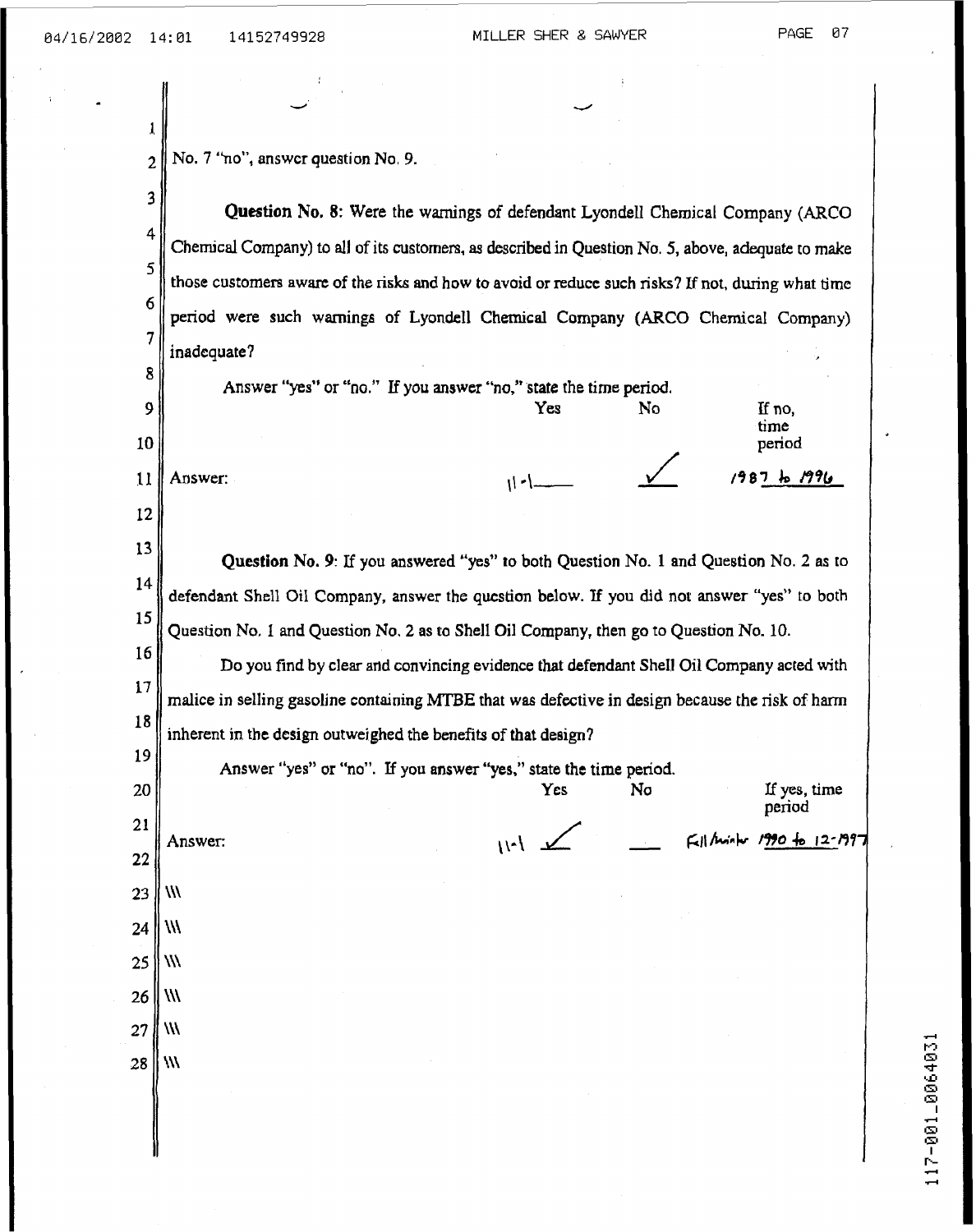| 2                     | No. 7 "no", answer question No. 9.                                                                 |                                                                                          |     |    |  |                            |  |  |  |  |
|-----------------------|----------------------------------------------------------------------------------------------------|------------------------------------------------------------------------------------------|-----|----|--|----------------------------|--|--|--|--|
| 3                     | Question No. 8: Were the warnings of defendant Lyondell Chemical Company (ARCO                     |                                                                                          |     |    |  |                            |  |  |  |  |
| 4                     | Chemical Company) to all of its customers, as described in Question No. 5, above, adequate to make |                                                                                          |     |    |  |                            |  |  |  |  |
| 5                     | those customers aware of the risks and how to avoid or reduce such risks? If not, during what time |                                                                                          |     |    |  |                            |  |  |  |  |
| 6                     | period were such warnings of Lyondell Chemical Company (ARCO Chemical Company)                     |                                                                                          |     |    |  |                            |  |  |  |  |
| 7                     | inadequate?                                                                                        |                                                                                          |     |    |  |                            |  |  |  |  |
| 8                     | Answer "yes" or "no." If you answer "no," state the time period.                                   |                                                                                          |     |    |  |                            |  |  |  |  |
| 9                     |                                                                                                    |                                                                                          | Yes | No |  | If no,<br>time             |  |  |  |  |
| 10                    |                                                                                                    |                                                                                          |     |    |  | period                     |  |  |  |  |
| $\mathbf{1}$          | Answer:                                                                                            |                                                                                          |     |    |  | $1987$ to $1996$           |  |  |  |  |
| 12                    |                                                                                                    |                                                                                          |     |    |  |                            |  |  |  |  |
| 13                    | Question No. 9: If you answered "yes" to both Question No. 1 and Question No. 2 as to              |                                                                                          |     |    |  |                            |  |  |  |  |
| 14                    | defendant Shell Oil Company, answer the question below. If you did not answer "yes" to both        |                                                                                          |     |    |  |                            |  |  |  |  |
| 15                    | Question No. 1 and Question No. 2 as to Shell Oil Company, then go to Question No. 10.             |                                                                                          |     |    |  |                            |  |  |  |  |
| 16                    |                                                                                                    | Do you find by clear and convincing evidence that defendant Shell Oil Company acted with |     |    |  |                            |  |  |  |  |
| 17                    | malice in selling gasoline containing MTBE that was defective in design because the risk of harm   |                                                                                          |     |    |  |                            |  |  |  |  |
| 18                    | inherent in the design outweighed the benefits of that design?                                     |                                                                                          |     |    |  |                            |  |  |  |  |
| 19                    | Answer "yes" or "no". If you answer "yes," state the time period                                   |                                                                                          |     |    |  |                            |  |  |  |  |
| 20                    |                                                                                                    |                                                                                          | Yes | No |  | If yes, time<br>period     |  |  |  |  |
| $\overline{21}$<br>22 | Answer:                                                                                            | $1 - 11$                                                                                 |     |    |  | Fell Minho 1990 to 12-1997 |  |  |  |  |
| 23                    | $\mathcal{W}$                                                                                      |                                                                                          |     |    |  |                            |  |  |  |  |
| 24                    | $\vert$ ///                                                                                        |                                                                                          |     |    |  |                            |  |  |  |  |
| 25                    | M                                                                                                  |                                                                                          |     |    |  |                            |  |  |  |  |
| 26                    | $^{\prime\prime\prime}$                                                                            |                                                                                          |     |    |  |                            |  |  |  |  |
| 27                    | $^{\prime\prime\prime}$                                                                            |                                                                                          |     |    |  |                            |  |  |  |  |
| 28                    | $\mathcal{W}$                                                                                      |                                                                                          |     |    |  |                            |  |  |  |  |
|                       |                                                                                                    |                                                                                          |     |    |  |                            |  |  |  |  |
|                       |                                                                                                    |                                                                                          |     |    |  |                            |  |  |  |  |
|                       |                                                                                                    |                                                                                          |     |    |  |                            |  |  |  |  |

 $\overline{a}$ 

f,

117-001-0064031